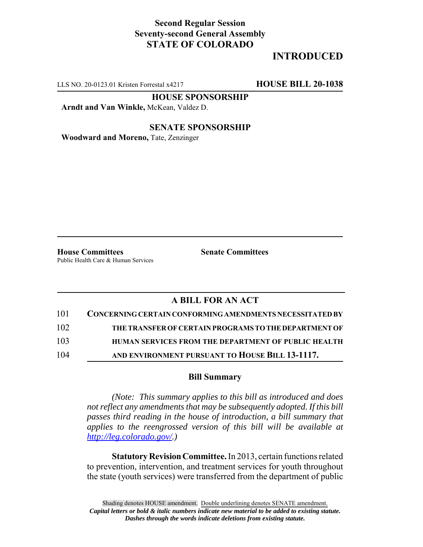## **Second Regular Session Seventy-second General Assembly STATE OF COLORADO**

## **INTRODUCED**

LLS NO. 20-0123.01 Kristen Forrestal x4217 **HOUSE BILL 20-1038**

**HOUSE SPONSORSHIP**

**Arndt and Van Winkle,** McKean, Valdez D.

**SENATE SPONSORSHIP**

**Woodward and Moreno,** Tate, Zenzinger

**House Committees Senate Committees** Public Health Care & Human Services

## **A BILL FOR AN ACT**

| 101 | CONCERNING CERTAIN CONFORMING AMENDMENTS NECESSITATED BY   |
|-----|------------------------------------------------------------|
| 102 | THE TRANSFER OF CERTAIN PROGRAMS TO THE DEPARTMENT OF      |
| 103 | <b>HUMAN SERVICES FROM THE DEPARTMENT OF PUBLIC HEALTH</b> |
| 104 | AND ENVIRONMENT PURSUANT TO HOUSE BILL 13-1117.            |

## **Bill Summary**

*(Note: This summary applies to this bill as introduced and does not reflect any amendments that may be subsequently adopted. If this bill passes third reading in the house of introduction, a bill summary that applies to the reengrossed version of this bill will be available at http://leg.colorado.gov/.)*

**Statutory Revision Committee.** In 2013, certain functions related to prevention, intervention, and treatment services for youth throughout the state (youth services) were transferred from the department of public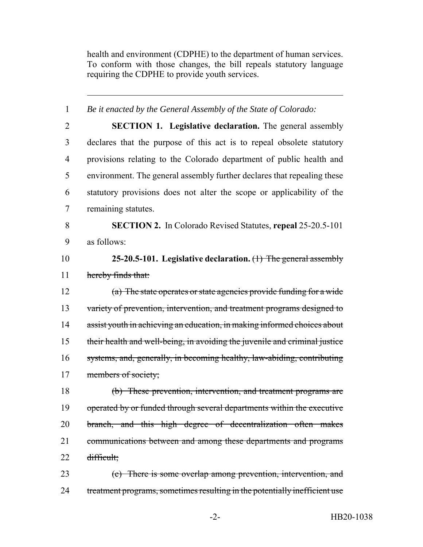health and environment (CDPHE) to the department of human services. To conform with those changes, the bill repeals statutory language requiring the CDPHE to provide youth services.

| $\mathbf{1}$   | Be it enacted by the General Assembly of the State of Colorado:            |
|----------------|----------------------------------------------------------------------------|
| $\overline{2}$ | <b>SECTION 1. Legislative declaration.</b> The general assembly            |
| 3              | declares that the purpose of this act is to repeal obsolete statutory      |
| 4              | provisions relating to the Colorado department of public health and        |
| 5              | environment. The general assembly further declares that repealing these    |
| 6              | statutory provisions does not alter the scope or applicability of the      |
| 7              | remaining statutes.                                                        |
| 8              | <b>SECTION 2.</b> In Colorado Revised Statutes, repeal 25-20.5-101         |
| 9              | as follows:                                                                |
| 10             | 25-20.5-101. Legislative declaration. $(1)$ The general assembly           |
| 11             | hereby finds that:                                                         |
| 12             | $(a)$ The state operates or state agencies provide funding for a wide      |
| 13             | variety of prevention, intervention, and treatment programs designed to    |
| 14             | assist youth in achieving an education, in making informed choices about   |
| 15             | their health and well-being, in avoiding the juvenile and criminal justice |
| 16             | systems, and, generally, in becoming healthy, law-abiding, contributing    |
| 17             | members of society;                                                        |
| 18             | (b) These prevention, intervention, and treatment programs are             |
| 19             | operated by or funded through several departments within the executive     |
| 20             | branch, and this high degree of decentralization often makes               |
| 21             | communications between and among these departments and programs            |
| 22             | difficult;                                                                 |
| 23             | (c) There is some overlap among prevention, intervention, and              |
| 24             | treatment programs, sometimes resulting in the potentially inefficient use |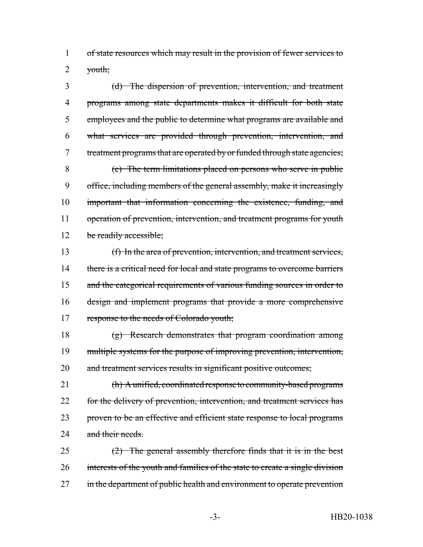1 of state resources which may result in the provision of fewer services to 2  $\forall$ outh;

 (d) The dispersion of prevention, intervention, and treatment programs among state departments makes it difficult for both state employees and the public to determine what programs are available and what services are provided through prevention, intervention, and 7 treatment programs that are operated by or funded through state agencies; (e) The term limitations placed on persons who serve in public office, including members of the general assembly, make it increasingly important that information concerning the existence, funding, and 11 operation of prevention, intervention, and treatment programs for youth 12 be readily accessible;

13 (f) In the area of prevention, intervention, and treatment services, 14 there is a critical need for local and state programs to overcome barriers 15 and the categorical requirements of various funding sources in order to 16 design and implement programs that provide a more comprehensive 17 response to the needs of Colorado youth;

18 (g) Research demonstrates that program coordination among 19 multiple systems for the purpose of improving prevention, intervention, 20 and treatment services results in significant positive outcomes;

21 (h) A unified, coordinated response to community-based programs 22 for the delivery of prevention, intervention, and treatment services has 23 proven to be an effective and efficient state response to local programs 24 and their needs

25  $(2)$  The general assembly therefore finds that it is in the best 26 interests of the youth and families of the state to create a single division 27 in the department of public health and environment to operate prevention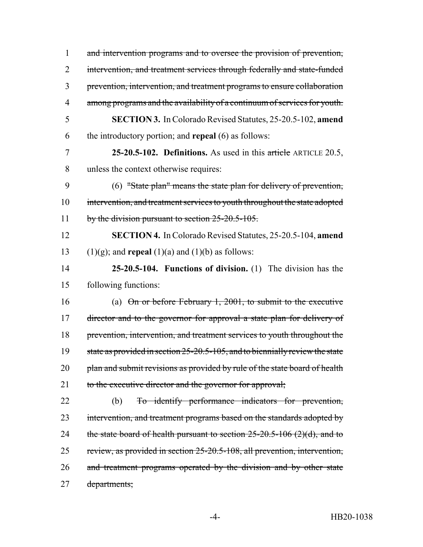1 and intervention programs and to oversee the provision of prevention, 2 intervention, and treatment services through federally and state-funded 3 prevention, intervention, and treatment programs to ensure collaboration 4 among programs and the availability of a continuum of services for youth. 5 **SECTION 3.** In Colorado Revised Statutes, 25-20.5-102, **amend** 6 the introductory portion; and **repeal** (6) as follows: 7 **25-20.5-102. Definitions.** As used in this article ARTICLE 20.5, 8 unless the context otherwise requires: 9 (6) "State plan" means the state plan for delivery of prevention, 10 intervention, and treatment services to youth throughout the state adopted 11 by the division pursuant to section 25-20.5-105. 12 **SECTION 4.** In Colorado Revised Statutes, 25-20.5-104, **amend** 13 (1)(g); and **repeal** (1)(a) and (1)(b) as follows: 14 **25-20.5-104. Functions of division.** (1) The division has the 15 following functions: 16 (a) On or before February 1, 2001, to submit to the executive 17 director and to the governor for approval a state plan for delivery of 18 prevention, intervention, and treatment services to youth throughout the 19 state as provided in section 25-20.5-105, and to biennially review the state 20 plan and submit revisions as provided by rule of the state board of health 21 to the executive director and the governor for approval; 22 (b) To identify performance indicators for prevention, 23 intervention, and treatment programs based on the standards adopted by 24 the state board of health pursuant to section  $25{\text -}20.5{\text -}106$  (2)(d), and to 25 review, as provided in section 25-20.5-108, all prevention, intervention, 26 and treatment programs operated by the division and by other state 27 departments;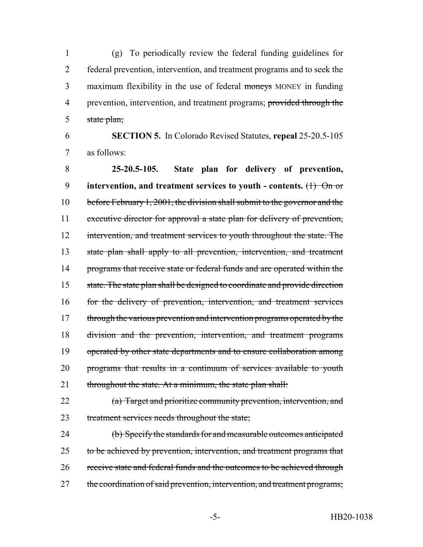(g) To periodically review the federal funding guidelines for federal prevention, intervention, and treatment programs and to seek the 3 maximum flexibility in the use of federal moneys MONEY in funding 4 prevention, intervention, and treatment programs; provided through the 5 state plan;

 **SECTION 5.** In Colorado Revised Statutes, **repeal** 25-20.5-105 as follows:

 **25-20.5-105. State plan for delivery of prevention, intervention, and treatment services to youth - contents.** (1) On or before February 1, 2001, the division shall submit to the governor and the executive director for approval a state plan for delivery of prevention, 12 intervention, and treatment services to youth throughout the state. The state plan shall apply to all prevention, intervention, and treatment 14 programs that receive state or federal funds and are operated within the state. The state plan shall be designed to coordinate and provide direction for the delivery of prevention, intervention, and treatment services 17 through the various prevention and intervention programs operated by the division and the prevention, intervention, and treatment programs 19 operated by other state departments and to ensure collaboration among programs that results in a continuum of services available to youth 21 throughout the state. At a minimum, the state plan shall:

 (a) Target and prioritize community prevention, intervention, and treatment services needs throughout the state;

 (b) Specify the standards for and measurable outcomes anticipated 25 to be achieved by prevention, intervention, and treatment programs that receive state and federal funds and the outcomes to be achieved through 27 the coordination of said prevention, intervention, and treatment programs;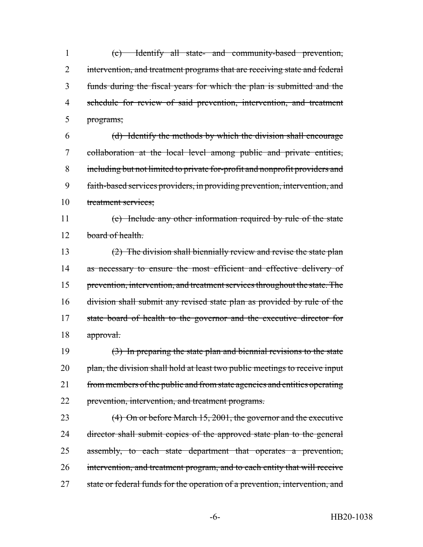(c) Identify all state- and community-based prevention, 2 intervention, and treatment programs that are receiving state and federal funds during the fiscal years for which the plan is submitted and the schedule for review of said prevention, intervention, and treatment programs;

 (d) Identify the methods by which the division shall encourage collaboration at the local level among public and private entities, including but not limited to private for-profit and nonprofit providers and faith-based services providers, in providing prevention, intervention, and treatment services;

 (e) Include any other information required by rule of the state 12 board of health.

 (2) The division shall biennially review and revise the state plan 14 as necessary to ensure the most efficient and effective delivery of prevention, intervention, and treatment services throughout the state. The division shall submit any revised state plan as provided by rule of the state board of health to the governor and the executive director for approval.

 (3) In preparing the state plan and biennial revisions to the state 20 plan, the division shall hold at least two public meetings to receive input 21 from members of the public and from state agencies and entities operating 22 prevention, intervention, and treatment programs.

23 (4) On or before March 15, 2001, the governor and the executive 24 director shall submit copies of the approved state plan to the general assembly, to each state department that operates a prevention, 26 intervention, and treatment program, and to each entity that will receive 27 state or federal funds for the operation of a prevention, intervention, and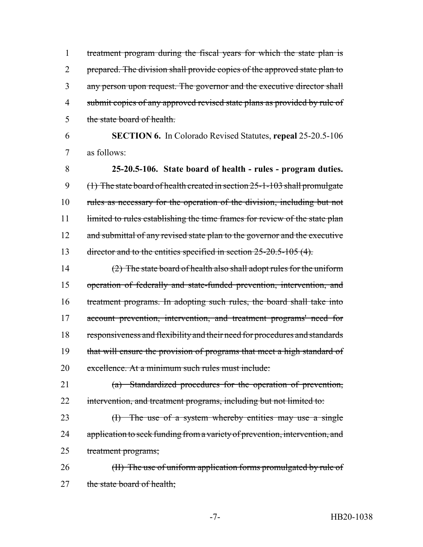1 treatment program during the fiscal years for which the state plan is 2 prepared. The division shall provide copies of the approved state plan to 3 any person upon request. The governor and the executive director shall 4 submit copies of any approved revised state plans as provided by rule of 5 the state board of health.

6 **SECTION 6.** In Colorado Revised Statutes, **repeal** 25-20.5-106 7 as follows:

8 **25-20.5-106. State board of health - rules - program duties.** 9 (1) The state board of health created in section 25-1-103 shall promulgate 10 rules as necessary for the operation of the division, including but not 11 limited to rules establishing the time frames for review of the state plan 12 and submittal of any revised state plan to the governor and the executive 13 director and to the entities specified in section 25-20.5-105 (4).

 (2) The state board of health also shall adopt rules for the uniform operation of federally and state-funded prevention, intervention, and treatment programs. In adopting such rules, the board shall take into account prevention, intervention, and treatment programs' need for responsiveness and flexibility and their need for procedures and standards 19 that will ensure the provision of programs that meet a high standard of excellence. At a minimum such rules must include:

21 (a) Standardized procedures for the operation of prevention, 22 intervention, and treatment programs, including but not limited to:

23 (I) The use of a system whereby entities may use a single 24 application to seek funding from a variety of prevention, intervention, and 25 treatment programs;

26 (II) The use of uniform application forms promulgated by rule of 27 the state board of health;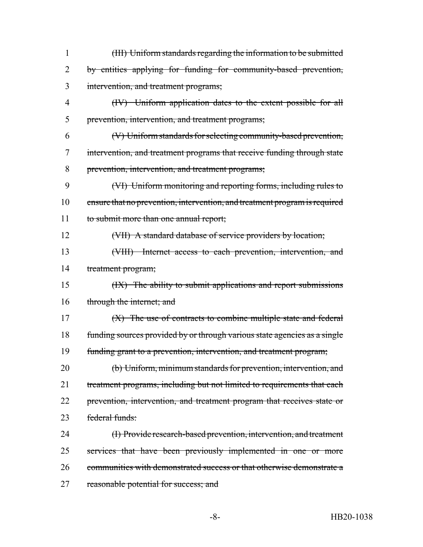| $\mathbf{1}$ | (III) Uniform standards regarding the information to be submitted          |
|--------------|----------------------------------------------------------------------------|
| 2            | by entities applying for funding for community-based prevention,           |
| 3            | intervention, and treatment programs;                                      |
| 4            | (IV) Uniform application dates to the extent possible for all              |
| 5            | prevention, intervention, and treatment programs;                          |
| 6            | (V) Uniform standards for selecting community-based prevention,            |
| 7            | intervention, and treatment programs that receive funding through state    |
| 8            | prevention, intervention, and treatment programs;                          |
| 9            | (VI) Uniform monitoring and reporting forms, including rules to            |
| 10           | ensure that no prevention, intervention, and treatment program is required |
| 11           | to submit more than one annual report;                                     |
| 12           | (VII) A standard database of service providers by location;                |
| 13           | (VIII) Internet access to each prevention, intervention, and               |
| 14           | treatment program;                                                         |
| 15           | (IX) The ability to submit applications and report submissions             |
| 16           | through the internet; and                                                  |
| 17           | (X) The use of contracts to combine multiple state and federal             |
| 18           | funding sources provided by or through various state agencies as a single  |
| 19           | funding grant to a prevention, intervention, and treatment program;        |
| 20           | (b) Uniform, minimum standards for prevention, intervention, and           |
| 21           | treatment programs, including but not limited to requirements that each    |
| 22           | prevention, intervention, and treatment program that receives state or     |
| 23           | federal funds:                                                             |
| 24           | (I) Provide research-based prevention, intervention, and treatment         |
| 25           | services that have been previously implemented in one or more              |
| 26           | communities with demonstrated success or that otherwise demonstrate a      |
| 27           | reasonable potential for success; and                                      |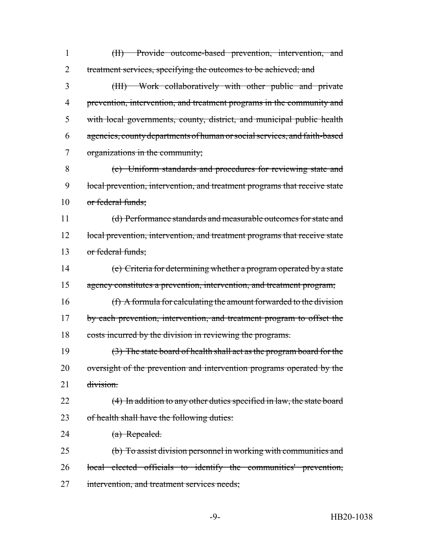(II) Provide outcome-based prevention, intervention, and 2 treatment services, specifying the outcomes to be achieved; and (III) Work collaboratively with other public and private prevention, intervention, and treatment programs in the community and with local governments, county, district, and municipal public health agencies, county departments of human or social services, and faith-based organizations in the community; (c) Uniform standards and procedures for reviewing state and local prevention, intervention, and treatment programs that receive state or federal funds; (d) Performance standards and measurable outcomes for state and 12 local prevention, intervention, and treatment programs that receive state or federal funds; (e) Criteria for determining whether a program operated by a state agency constitutes a prevention, intervention, and treatment program; (f) A formula for calculating the amount forwarded to the division 17 by each prevention, intervention, and treatment program to offset the 18 costs incurred by the division in reviewing the programs. (3) The state board of health shall act as the program board for the 20 oversight of the prevention and intervention programs operated by the 21 division. 22 (4) In addition to any other duties specified in law, the state board 23 of health shall have the following duties: 24 (a) Repealed. (b) To assist division personnel in working with communities and local elected officials to identify the communities' prevention, 27 intervention, and treatment services needs;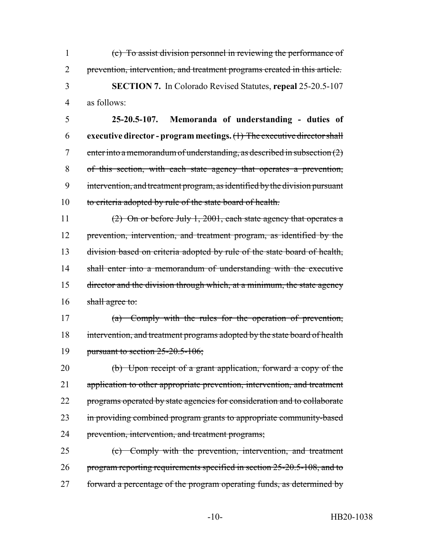(c) To assist division personnel in reviewing the performance of prevention, intervention, and treatment programs created in this article. **SECTION 7.** In Colorado Revised Statutes, **repeal** 25-20.5-107 as follows:

 **25-20.5-107. Memoranda of understanding - duties of executive director - program meetings.** (1) The executive director shall 7 enter into a memorandum of understanding, as described in subsection  $(2)$  of this section, with each state agency that operates a prevention, intervention, and treatment program, as identified by the division pursuant 10 to criteria adopted by rule of the state board of health.

11 (2) On or before July 1, 2001, each state agency that operates a 12 prevention, intervention, and treatment program, as identified by the 13 division based on criteria adopted by rule of the state board of health, 14 shall enter into a memorandum of understanding with the executive 15 director and the division through which, at a minimum, the state agency 16 shall agree to:

17 (a) Comply with the rules for the operation of prevention, 18 intervention, and treatment programs adopted by the state board of health 19 pursuant to section 25-20.5-106;

20 (b) Upon receipt of a grant application, forward a copy of the 21 application to other appropriate prevention, intervention, and treatment 22 programs operated by state agencies for consideration and to collaborate 23 in providing combined program grants to appropriate community-based 24 prevention, intervention, and treatment programs;

25 (c) Comply with the prevention, intervention, and treatment 26 program reporting requirements specified in section 25-20.5-108, and to 27 forward a percentage of the program operating funds, as determined by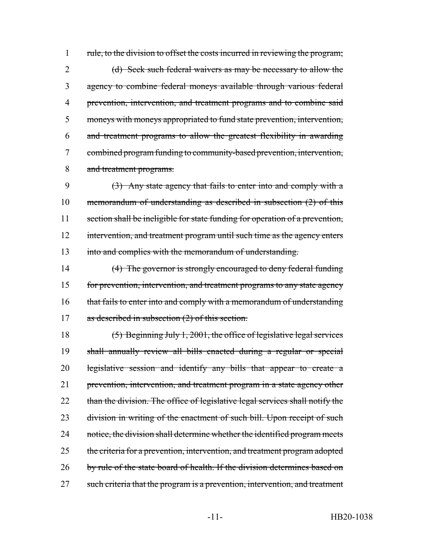1 rule, to the division to offset the costs incurred in reviewing the program; 2 (d) Seek such federal waivers as may be necessary to allow the agency to combine federal moneys available through various federal prevention, intervention, and treatment programs and to combine said moneys with moneys appropriated to fund state prevention, intervention, and treatment programs to allow the greatest flexibility in awarding combined program funding to community-based prevention, intervention, and treatment programs.

 (3) Any state agency that fails to enter into and comply with a memorandum of understanding as described in subsection (2) of this section shall be ineligible for state funding for operation of a prevention, 12 intervention, and treatment program until such time as the agency enters into and complies with the memorandum of understanding.

14 (4) The governor is strongly encouraged to deny federal funding 15 for prevention, intervention, and treatment programs to any state agency 16 that fails to enter into and comply with a memorandum of understanding 17 as described in subsection (2) of this section.

18 (5) Beginning July 1, 2001, the office of legislative legal services 19 shall annually review all bills enacted during a regular or special 20 legislative session and identify any bills that appear to create a 21 prevention, intervention, and treatment program in a state agency other 22 than the division. The office of legislative legal services shall notify the 23 division in writing of the enactment of such bill. Upon receipt of such 24 notice, the division shall determine whether the identified program meets 25 the criteria for a prevention, intervention, and treatment program adopted 26 by rule of the state board of health. If the division determines based on 27 such criteria that the program is a prevention, intervention, and treatment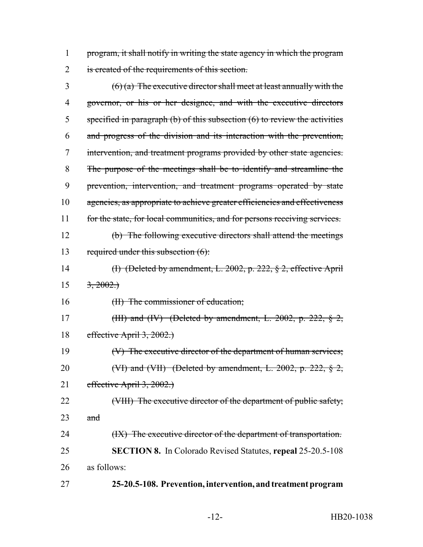1 program, it shall notify in writing the state agency in which the program 2 is created of the requirements of this section.

 $3 \left(6\right)(a)$  The executive director shall meet at least annually with the 4 governor, or his or her designee, and with the executive directors 5 specified in paragraph (b) of this subsection (6) to review the activities 6 and progress of the division and its interaction with the prevention, 7 intervention, and treatment programs provided by other state agencies. 8 The purpose of the meetings shall be to identify and streamline the 9 prevention, intervention, and treatment programs operated by state 10 agencies, as appropriate to achieve greater efficiencies and effectiveness 11 for the state, for local communities, and for persons receiving services. 12 (b) The following executive directors shall attend the meetings 13 required under this subsection (6): 14 (I) (Deleted by amendment, L. 2002, p. 222, § 2, effective April  $15 \frac{3,2002.}{ }$ 16 (II) The commissioner of education; 17 (III) and (IV) (Deleted by amendment, L. 2002, p. 222,  $\S$  2, 18 effective April 3, 2002.) 19 (V) The executive director of the department of human services; 20 (VI) and (VII) (Deleted by amendment, L. 2002, p. 222,  $\S$  2, 21 effective April 3, 2002.) 22 (VIII) The executive director of the department of public safety; 23  $\qquad$  and 24 (IX) The executive director of the department of transportation. 25 **SECTION 8.** In Colorado Revised Statutes, **repeal** 25-20.5-108 26 as follows: 27 **25-20.5-108. Prevention, intervention, and treatment program**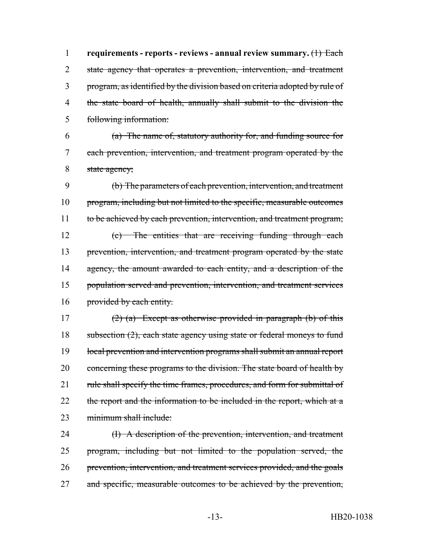**requirements - reports - reviews - annual review summary.** (1) Each 2 state agency that operates a prevention, intervention, and treatment program, as identified by the division based on criteria adopted by rule of the state board of health, annually shall submit to the division the following information:

6 (a) The name of, statutory authority for, and funding source for 7 each prevention, intervention, and treatment program operated by the 8 state agency;

9 (b) The parameters of each prevention, intervention, and treatment 10 program, including but not limited to the specific, measurable outcomes 11 to be achieved by each prevention, intervention, and treatment program; 12 (c) The entities that are receiving funding through each 13 prevention, intervention, and treatment program operated by the state 14 agency, the amount awarded to each entity, and a description of the 15 population served and prevention, intervention, and treatment services 16 provided by each entity.

17 (2) (a) Except as otherwise provided in paragraph (b) of this 18 subsection (2), each state agency using state or federal moneys to fund 19 local prevention and intervention programs shall submit an annual report 20 concerning these programs to the division. The state board of health by 21 rule shall specify the time frames, procedures, and form for submittal of 22 the report and the information to be included in the report, which at a 23 minimum shall include:

 (I) A description of the prevention, intervention, and treatment program, including but not limited to the population served, the prevention, intervention, and treatment services provided, and the goals 27 and specific, measurable outcomes to be achieved by the prevention,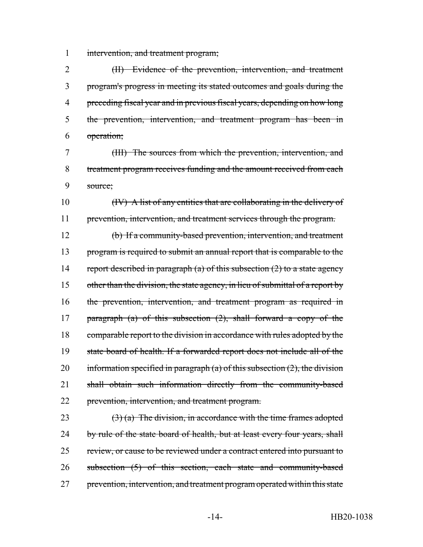intervention, and treatment program;

 (II) Evidence of the prevention, intervention, and treatment program's progress in meeting its stated outcomes and goals during the preceding fiscal year and in previous fiscal years, depending on how long the prevention, intervention, and treatment program has been in operation;

 (III) The sources from which the prevention, intervention, and treatment program receives funding and the amount received from each source;

 (IV) A list of any entities that are collaborating in the delivery of prevention, intervention, and treatment services through the program.

 (b) If a community-based prevention, intervention, and treatment 13 program is required to submit an annual report that is comparable to the 14 report described in paragraph (a) of this subsection  $(2)$  to a state agency 15 other than the division, the state agency, in lieu of submittal of a report by the prevention, intervention, and treatment program as required in 17 paragraph (a) of this subsection  $(2)$ , shall forward a copy of the 18 comparable report to the division in accordance with rules adopted by the state board of health. If a forwarded report does not include all of the 20 information specified in paragraph (a) of this subsection  $(2)$ , the division shall obtain such information directly from the community-based prevention, intervention, and treatment program.

23  $(3)$  (a) The division, in accordance with the time frames adopted 24 by rule of the state board of health, but at least every four years, shall 25 review, or cause to be reviewed under a contract entered into pursuant to subsection (5) of this section, each state and community-based 27 prevention, intervention, and treatment program operated within this state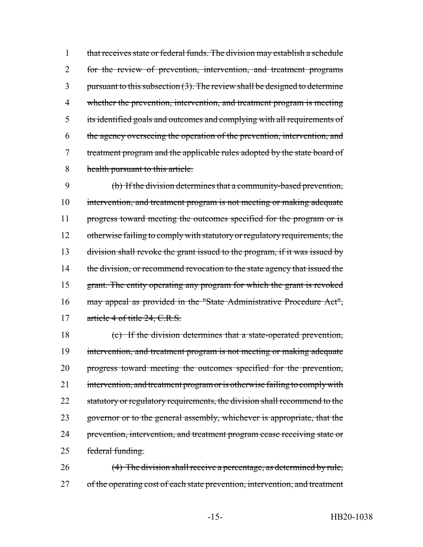that receives state or federal funds. The division may establish a schedule for the review of prevention, intervention, and treatment programs 3 pursuant to this subsection  $(3)$ . The review shall be designed to determine whether the prevention, intervention, and treatment program is meeting its identified goals and outcomes and complying with all requirements of the agency overseeing the operation of the prevention, intervention, and 7 treatment program and the applicable rules adopted by the state board of health pursuant to this article.

9 (b) If the division determines that a community-based prevention, 10 intervention, and treatment program is not meeting or making adequate 11 progress toward meeting the outcomes specified for the program or is 12 otherwise failing to comply with statutory or regulatory requirements, the 13 division shall revoke the grant issued to the program, if it was issued by 14 the division, or recommend revocation to the state agency that issued the 15 grant. The entity operating any program for which the grant is revoked 16 may appeal as provided in the "State Administrative Procedure Act", 17 article 4 of title 24, C.R.S.

18 (c) If the division determines that a state-operated prevention, 19 intervention, and treatment program is not meeting or making adequate 20 progress toward meeting the outcomes specified for the prevention, 21 intervention, and treatment program or is otherwise failing to comply with 22 statutory or regulatory requirements, the division shall recommend to the 23 governor or to the general assembly, whichever is appropriate, that the 24 prevention, intervention, and treatment program cease receiving state or 25 federal funding.

26 (4) The division shall receive a percentage, as determined by rule, 27 of the operating cost of each state prevention, intervention, and treatment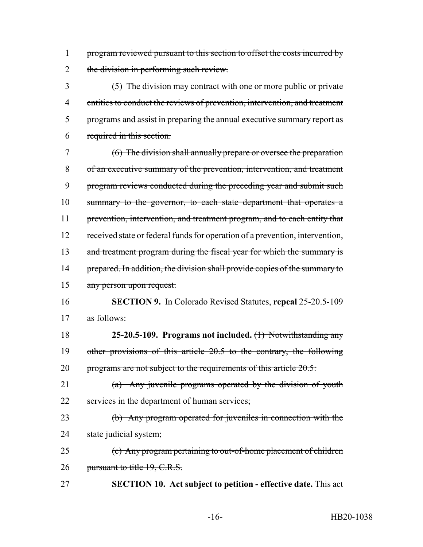1 program reviewed pursuant to this section to offset the costs incurred by 2 the division in performing such review.

 (5) The division may contract with one or more public or private 4 entities to conduct the reviews of prevention, intervention, and treatment programs and assist in preparing the annual executive summary report as required in this section.

 (6) The division shall annually prepare or oversee the preparation of an executive summary of the prevention, intervention, and treatment program reviews conducted during the preceding year and submit such summary to the governor, to each state department that operates a 11 prevention, intervention, and treatment program, and to each entity that received state or federal funds for operation of a prevention, intervention, 13 and treatment program during the fiscal year for which the summary is 14 prepared. In addition, the division shall provide copies of the summary to any person upon request.

 **SECTION 9.** In Colorado Revised Statutes, **repeal** 25-20.5-109 as follows:

 **25-20.5-109. Programs not included.** (1) Notwithstanding any other provisions of this article 20.5 to the contrary, the following 20 programs are not subject to the requirements of this article  $20.5$ :

 (a) Any juvenile programs operated by the division of youth 22 services in the department of human services;

 (b) Any program operated for juveniles in connection with the 24 state judicial system;

 (c) Any program pertaining to out-of-home placement of children 26 pursuant to title 19, C.R.S.

**SECTION 10. Act subject to petition - effective date.** This act